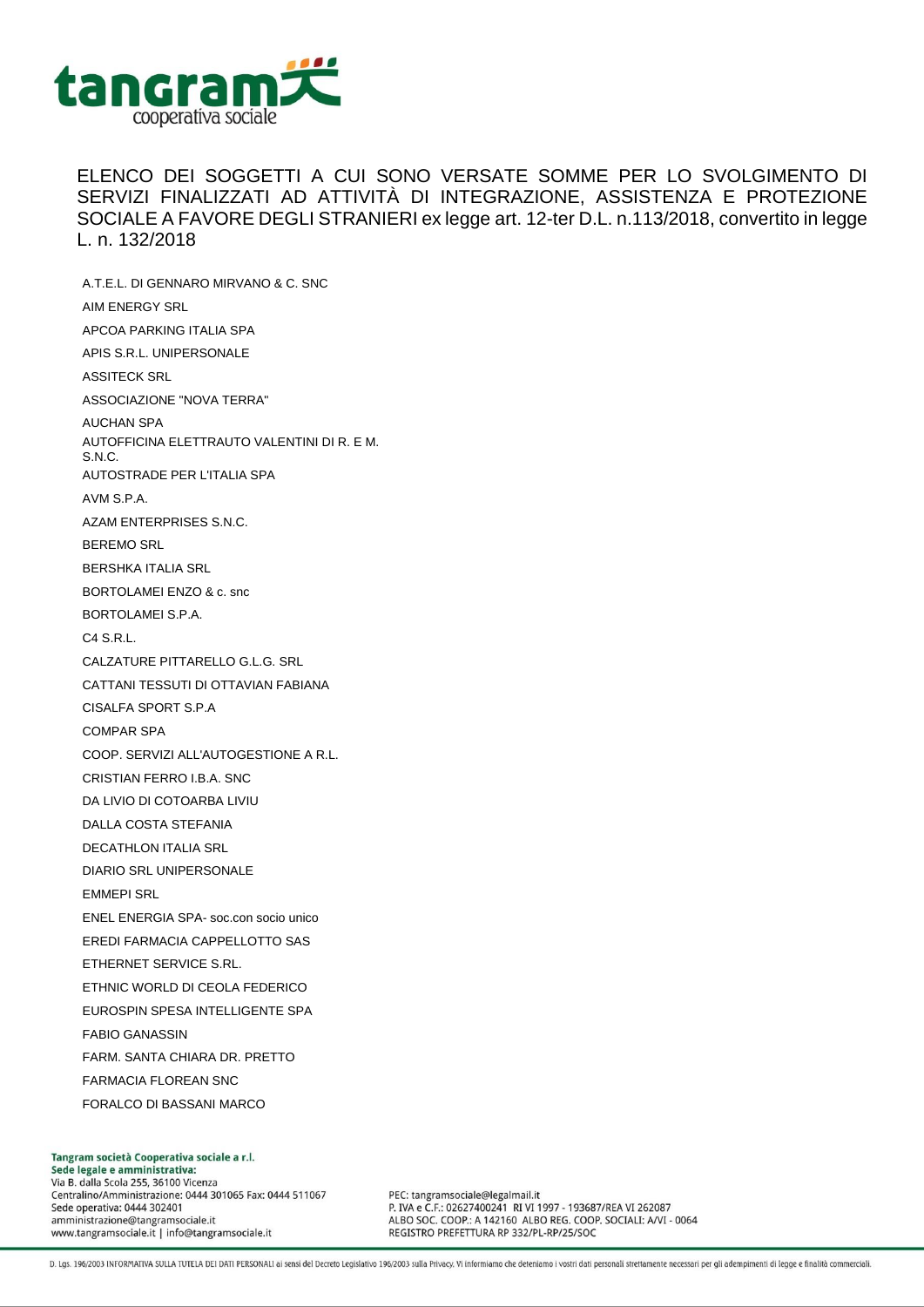

ELENCO DEI SOGGETTI A CUI SONO VERSATE SOMME PER LO SVOLGIMENTO DI SERVIZI FINALIZZATI AD ATTIVITÀ DI INTEGRAZIONE, ASSISTENZA E PROTEZIONE SOCIALE A FAVORE DEGLI STRANIERI ex legge art. 12-ter D.L. n.113/2018, convertito in legge L. n. 132/2018

A.T.E.L. DI GENNARO MIRVANO & C. SNC AIM ENERGY SRL APCOA PARKING ITALIA SPA APIS S.R.L. UNIPERSONALE ASSITECK SRL ASSOCIAZIONE "NOVA TERRA" AUCHAN SPA AUTOFFICINA ELETTRAUTO VALENTINI DI R. E M. S.N.C. AUTOSTRADE PER L'ITALIA SPA AVM S.P.A. AZAM ENTERPRISES S.N.C. BEREMO SRL BERSHKA ITALIA SRL BORTOLAMEI ENZO & c. snc BORTOLAMEI S.P.A. C4 S.R.L. CALZATURE PITTARELLO G.L.G. SRL CATTANI TESSUTI DI OTTAVIAN FABIANA CISALFA SPORT S.P.A COMPAR SPA COOP. SERVIZI ALL'AUTOGESTIONE A R.L. CRISTIAN FERRO I.B.A. SNC DA LIVIO DI COTOARBA LIVIU DALLA COSTA STEFANIA DECATHLON ITALIA SRL DIARIO SRL UNIPERSONALE EMMEPI SRL ENEL ENERGIA SPA- soc.con socio unico EREDI FARMACIA CAPPELLOTTO SAS ETHERNET SERVICE S.RL. ETHNIC WORLD DI CEOLA FEDERICO EUROSPIN SPESA INTELLIGENTE SPA FABIO GANASSIN FARM. SANTA CHIARA DR. PRETTO FARMACIA FLOREAN SNC FORALCO DI BASSANI MARCO

Tangram società Cooperativa sociale a r.l. Sede legale e amministrativa: Via B. dalla Scola 255, 36100 Vicenza Centralino/Amministrazione: 0444 301065 Fax: 0444 511067 Sede operativa: 0444 302401 amministrazione@tangramsociale.it www.tangramsociale.it | info@tangramsociale.it

PEC: tangramsociale@legalmail.it P. IVA e C.F.: 02627400241 RI VI 1997 - 193687/REA VI 262087 ALBO SOC. COOP .: A 142160 ALBO REG. COOP. SOCIALI: A/VI - 0064 REGISTRO PREFETTURA RP 332/PL-RP/25/SOC

D. Lgs. 196/2003 INFORMATIVA SULLA TUTELA DEI DATI PERSONALI ai sensi del Decreto Legislativo 196/2003 sulla Privacy. Vi informiamo che deteniamo i vostri dati personali strettamente necessari per gli adempimenti di legge